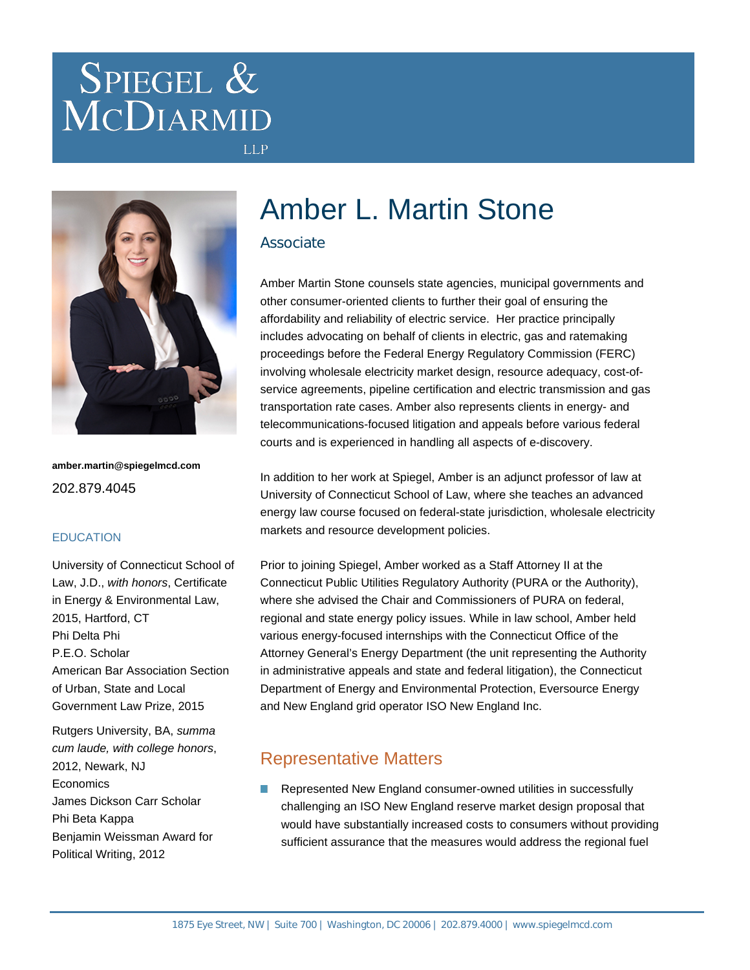# SPIEGEL & MCDIARMID



**amber.martin@spiegelmcd.com** 202.879.4045

#### **EDUCATION**

University of Connecticut School of Law, J.D., with honors, Certificate in Energy & Environmental Law, 2015, Hartford, CT Phi Delta Phi P.E.O. Scholar American Bar Association Section of Urban, State and Local Government Law Prize, 2015

Rutgers University, BA, summa cum laude, with college honors, 2012, Newark, NJ **Economics** James Dickson Carr Scholar Phi Beta Kappa Benjamin Weissman Award for Political Writing, 2012

## Amber L. Martin Stone

### Associate

**LLP** 

Amber Martin Stone counsels state agencies, municipal governments and other consumer-oriented clients to further their goal of ensuring the affordability and reliability of electric service. Her practice principally includes advocating on behalf of clients in electric, gas and ratemaking proceedings before the Federal Energy Regulatory Commission (FERC) involving wholesale electricity market design, resource adequacy, cost-ofservice agreements, pipeline certification and electric transmission and gas transportation rate cases. Amber also represents clients in energy- and telecommunications-focused litigation and appeals before various federal courts and is experienced in handling all aspects of e-discovery.

In addition to her work at Spiegel, Amber is an adjunct professor of law at University of Connecticut School of Law, where she teaches an advanced energy law course focused on federal-state jurisdiction, wholesale electricity markets and resource development policies.

Prior to joining Spiegel, Amber worked as a Staff Attorney II at the Connecticut Public Utilities Regulatory Authority (PURA or the Authority), where she advised the Chair and Commissioners of PURA on federal, regional and state energy policy issues. While in law school, Amber held various energy-focused internships with the Connecticut Office of the Attorney General's Energy Department (the unit representing the Authority in administrative appeals and state and federal litigation), the Connecticut Department of Energy and Environmental Protection, Eversource Energy and New England grid operator ISO New England Inc.

## Representative Matters

Represented New England consumer-owned utilities in successfully challenging an ISO New England reserve market design proposal that would have substantially increased costs to consumers without providing sufficient assurance that the measures would address the regional fuel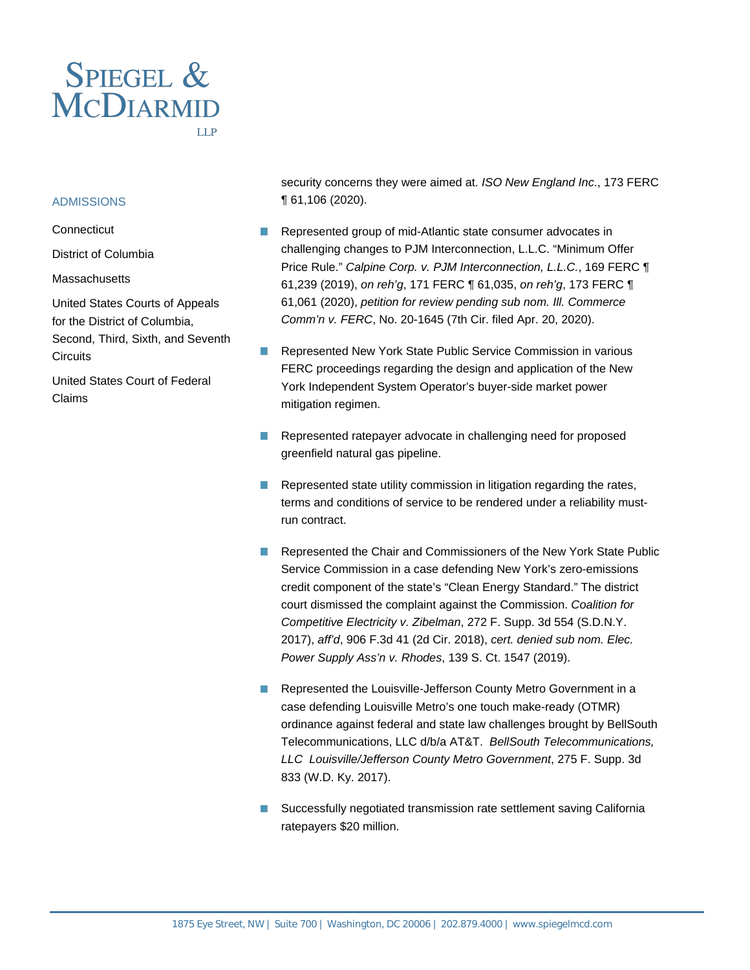

#### **ADMISSIONS**

**Connecticut** 

District of Columbia

#### **Massachusetts**

United States Courts of Appeals for the District of Columbia, Second, Third, Sixth, and Seventh **Circuits** 

United States Court of Federal Claims

security concerns they were aimed at. ISO New England Inc., 173 FERC ¶ 61,106 (2020).

- Represented group of mid-Atlantic state consumer advocates in challenging changes to PJM Interconnection, L.L.C. "Minimum Offer Price Rule." Calpine Corp. v. PJM Interconnection, L.L.C., 169 FERC ¶ 61,239 (2019), on reh'g, 171 FERC ¶ 61,035, on reh'g, 173 FERC ¶ 61,061 (2020), petition for review pending sub nom. Ill. Commerce Comm'n v. FERC, No. 20-1645 (7th Cir. filed Apr. 20, 2020).
- Represented New York State Public Service Commission in various FERC proceedings regarding the design and application of the New York Independent System Operator's buyer-side market power mitigation regimen.
- $\Box$ Represented ratepayer advocate in challenging need for proposed greenfield natural gas pipeline.
- Represented state utility commission in litigation regarding the rates, terms and conditions of service to be rendered under a reliability mustrun contract.
- Represented the Chair and Commissioners of the New York State Public Service Commission in a case defending New York's zero-emissions credit component of the state's "Clean Energy Standard." The district court dismissed the complaint against the Commission. Coalition for Competitive Electricity v. Zibelman, 272 F. Supp. 3d 554 (S.D.N.Y. 2017), aff'd, 906 F.3d 41 (2d Cir. 2018), cert. denied sub nom. Elec. Power Supply Ass'n v. Rhodes, 139 S. Ct. 1547 (2019).
- $\Box$ Represented the Louisville-Jefferson County Metro Government in a case defending Louisville Metro's one touch make-ready (OTMR) ordinance against federal and state law challenges brought by BellSouth Telecommunications, LLC d/b/a AT&T. BellSouth Telecommunications, LLC Louisville/Jefferson County Metro Government, 275 F. Supp. 3d 833 (W.D. Ky. 2017).
- Successfully negotiated transmission rate settlement saving California ratepayers \$20 million.